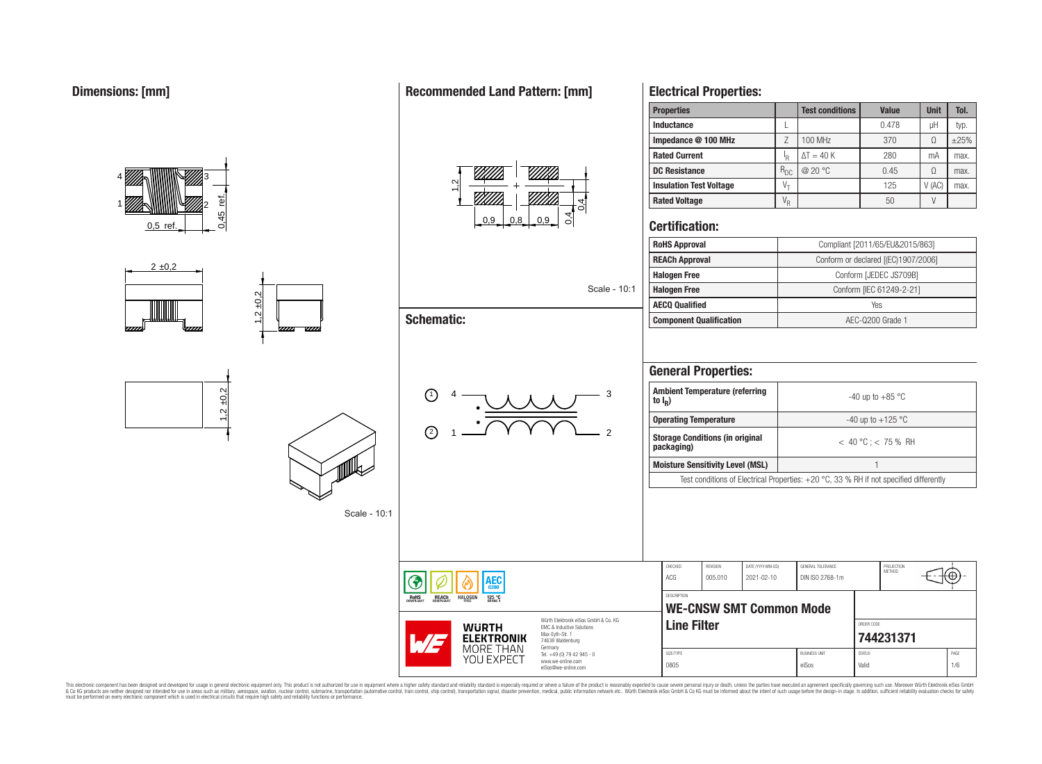

## **Recommended Land Pattern: [mm]**



|              | Scale - 10:1 |
|--------------|--------------|
| matic:       |              |
| $\mathbf{1}$ | 3            |

 $\overline{2}$ 

# **Electrical Properties:**

| <b>Properties</b>              |            | <b>Test conditions</b> | <b>Value</b> | <b>Unit</b> | Tol.      |
|--------------------------------|------------|------------------------|--------------|-------------|-----------|
| <b>Inductance</b>              |            |                        | 0.478        | μH          | typ.      |
| Impedance @ 100 MHz            |            | 100 MHz                | 370          | Ω           | $\pm 25%$ |
| <b>Rated Current</b>           | ΙR         | $\Delta T = 40 K$      | 280          | mA          | max.      |
| <b>DC Resistance</b>           | $R_{DC}$   | @ 20 °C                | 0.45         | Ω           | max.      |
| <b>Insulation Test Voltage</b> | $V_{\tau}$ |                        | 125          | V(AC)       | max.      |
| <b>Rated Voltage</b>           | $V_R$      |                        | 50           |             |           |

## **Certification:**

| <b>RoHS Approval</b>           | Compliant [2011/65/EU&2015/863]     |
|--------------------------------|-------------------------------------|
| <b>REACh Approval</b>          | Conform or declared [(EC)1907/2006] |
| <b>Halogen Free</b>            | Conform [JEDEC JS709B]              |
| <b>Halogen Free</b>            | Conform [IEC 61249-2-21]            |
| <b>AECQ Qualified</b>          | Yes                                 |
| <b>Component Qualification</b> | AEC-Q200 Grade 1                    |

## **General Properties:**

| <b>Ambient Temperature (referring</b><br>to $I_{\rm p}$ )                                | $-40$ up to $+85$ °C    |  |  |  |  |
|------------------------------------------------------------------------------------------|-------------------------|--|--|--|--|
| <b>Operating Temperature</b>                                                             | $-40$ up to $+125$ °C   |  |  |  |  |
| <b>Storage Conditions (in original</b><br>packaging)                                     | $< 40 °C$ : $< 75 %$ RH |  |  |  |  |
| <b>Moisture Sensitivity Level (MSL)</b>                                                  |                         |  |  |  |  |
| Test conditions of Electrical Properties: $+20$ °C, 33 % RH if not specified differently |                         |  |  |  |  |

| <b>AEC</b><br>0200                                                                          |                                                                                                                                | CHECKED<br>ACG                                       | REVISION<br>005.010 | DATE (YYYY-MM-DD)<br>2021-02-10 | GENERAL TOLERANCE<br>DIN ISO 2768-1m |                                                         | PROJECTION<br>METHOD |             |
|---------------------------------------------------------------------------------------------|--------------------------------------------------------------------------------------------------------------------------------|------------------------------------------------------|---------------------|---------------------------------|--------------------------------------|---------------------------------------------------------|----------------------|-------------|
| <b>REACH</b><br>COMPLIANT<br><b>HALOGEN</b><br>125 °C<br>GRADE 1<br><b>ROHS</b><br>OMPLIANT |                                                                                                                                | <b>DESCRIPTION</b><br><b>WE-CNSW SMT Common Mode</b> |                     |                                 |                                      |                                                         |                      |             |
| <b>WURTH</b><br>WE<br><b>ELEKTRONIK</b>                                                     | Würth Elektronik eiSos GmbH & Co. KG<br><b>EMC &amp; Inductive Solutions</b><br>Max-Eyth-Str. 1<br>74638 Waldenburg<br>Germany | <b>Line Filter</b>                                   |                     |                                 |                                      | ORDER CODE                                              | 744231371            |             |
| MORE THAN<br>YOU EXPECT                                                                     | Tel. +49 (0) 79 42 945 - 0<br>www.we-online.com<br>eiSos@we-online.com                                                         |                                                      | SIZE/TYPE<br>0805   |                                 |                                      | <b>BUSINESS UNIT</b><br><b>STATUS</b><br>Valid<br>eiSos |                      | PAGE<br>1/6 |

This electronic component has been designed and developed for usage in general electronic equipment only. This product is not authorized for subserved requipment where a higher selection equipment where a higher selection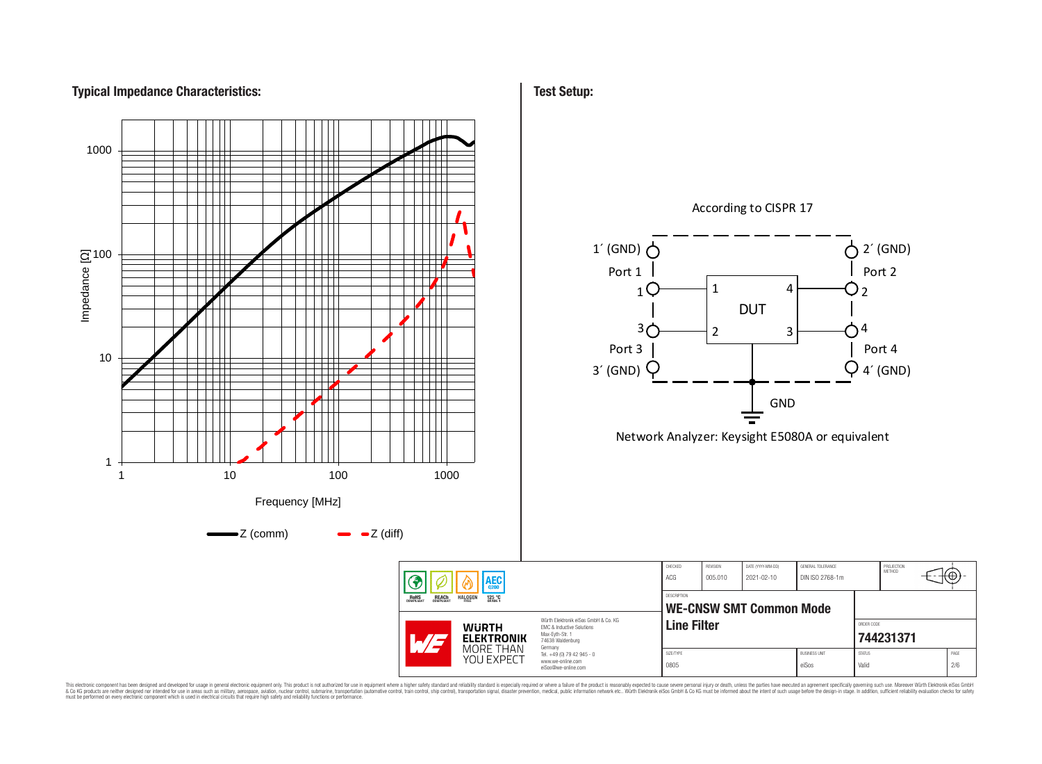# **Typical Impedance Characteristics:**



This electronic component has been designed and developed for usage in general electronic equipment only. This product is not authorized for use in equipment where a higher safely standard and reliability standard si espec & Ook product a label and the membed of the seasuch as marked and as which such a membed and the such assume that income in the seasuch and the simulation and the such assume that include to the such a membed and the such

⊕

## **Test Setup:**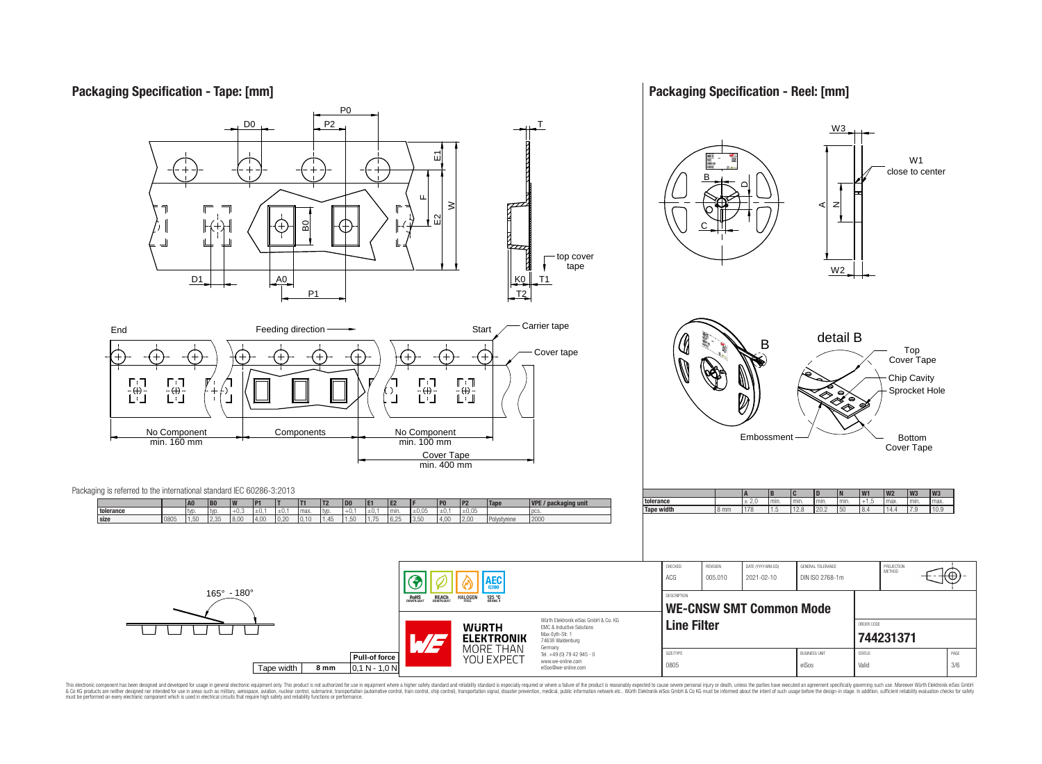## **Packaging Specification - Tape: [mm]**

**Packaging Specification - Reel: [mm]**



This electronic component has been designed and developed for usage in general electronic equipment only. This product is not authorized for use in equipment where a higher safely standard and reliability standard si espec & Ook product a label and the membed of the seasuch as marked and as which such a membed and the such assume that income in the seasuch and the simulation and the such assume that include to the such a membed and the such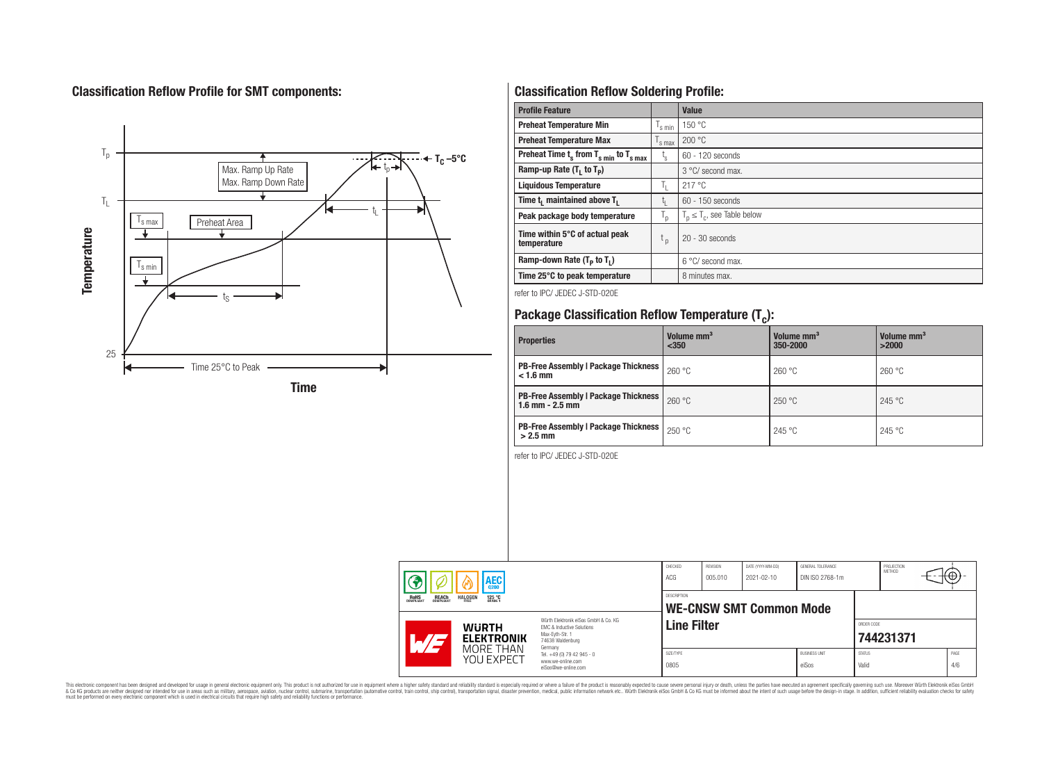# **Classification Reflow Profile for SMT components:**



# **Classification Reflow Soldering Profile:**

| <b>Profile Feature</b>                              |                           | <b>Value</b>                     |
|-----------------------------------------------------|---------------------------|----------------------------------|
| <b>Preheat Temperature Min</b>                      | 's min                    | 150 °C                           |
| <b>Preheat Temperature Max</b>                      | <sup>I</sup> s max        | 200 °C                           |
| Preheat Time $t_s$ from $T_{s,min}$ to $T_{s,max}$  | $t_{\rm s}$               | $60 - 120$ seconds               |
| Ramp-up Rate $(T_1$ to $T_p$ )                      |                           | 3 °C/ second max.                |
| <b>Liquidous Temperature</b>                        | ъ.                        | 217 °C                           |
| Time t <sub>i</sub> maintained above T <sub>1</sub> | t,                        | $60 - 150$ seconds               |
| Peak package body temperature                       | $\mathsf{I}_{\mathsf{D}}$ | $T_p \leq T_c$ , see Table below |
| Time within 5°C of actual peak<br>temperature       | $t_{p}$                   | $20 - 30$ seconds                |
| Ramp-down Rate $(T_p$ to $T_1$ )                    |                           | $6^{\circ}$ C/ second max.       |
| Time 25°C to peak temperature                       |                           | 8 minutes max.                   |

refer to IPC/ JEDEC J-STD-020E

# **Package Classification Reflow Temperature (T<sup>c</sup> ):**

| <b>Properties</b>                                                    | Volume mm <sup>3</sup><br>< 350 | Volume mm <sup>3</sup><br>350-2000 | Volume mm <sup>3</sup><br>>2000 |
|----------------------------------------------------------------------|---------------------------------|------------------------------------|---------------------------------|
| <b>PB-Free Assembly   Package Thickness  </b><br>$< 1.6$ mm          | 260 °C                          | 260 °C                             | 260 °C                          |
| <b>PB-Free Assembly   Package Thickness  </b><br>$1.6$ mm $- 2.5$ mm | 260 °C                          | 250 °C                             | 245 °C                          |
| <b>PB-Free Assembly   Package Thickness  </b><br>$>2.5$ mm           | 250 °C                          | 245 °C                             | 245 °C                          |

refer to IPC/ JEDEC J-STD-020E

| <b>AEC</b> |                                                                                   | CHECKED<br>ACG                    | <b>REVISION</b><br>005.010                                                                                          | DATE (YYYY-MM-DD)<br>2021-02-10 | GENERAL TOLERANCE<br>DIN ISO 2768-1m |  | PROJECTION<br><b>METHOD</b>   | ΉΨ,                    |           |             |
|------------|-----------------------------------------------------------------------------------|-----------------------------------|---------------------------------------------------------------------------------------------------------------------|---------------------------------|--------------------------------------|--|-------------------------------|------------------------|-----------|-------------|
|            | <b>REACH</b><br>COMPLIANT<br><b>HALOGEN</b><br><b>ROHS</b><br>COMPLIANT<br>125 °C |                                   | <b>DESCRIPTION</b><br><b>WE-CNSW SMT Common Mode</b>                                                                |                                 |                                      |  |                               |                        |           |             |
|            |                                                                                   | <b>WURTH</b><br><b>ELEKTRONIK</b> | Würth Flektronik eiSos GmbH & Co. KG<br>EMC & Inductive Solutions<br>Max-Evth-Str. 1<br>74638 Waldenburg<br>Germany | <b>Line Filter</b>              |                                      |  |                               | ORDER CODE             | 744231371 |             |
|            |                                                                                   | MORE THAN<br>YOU EXPECT           | Tel. +49 (0) 79 42 945 - 0<br>www.we-online.com<br>eiSos@we-online.com                                              | SIZE/TYPE<br>0805               |                                      |  | <b>BUSINESS UNIT</b><br>eiSos | <b>STATUS</b><br>Valid |           | PAGE<br>4/6 |

This electronic component has been designed and developed for usage in general electronic equipment only. This product is not authorized for subserved requipment where a higher selection equipment where a higher selection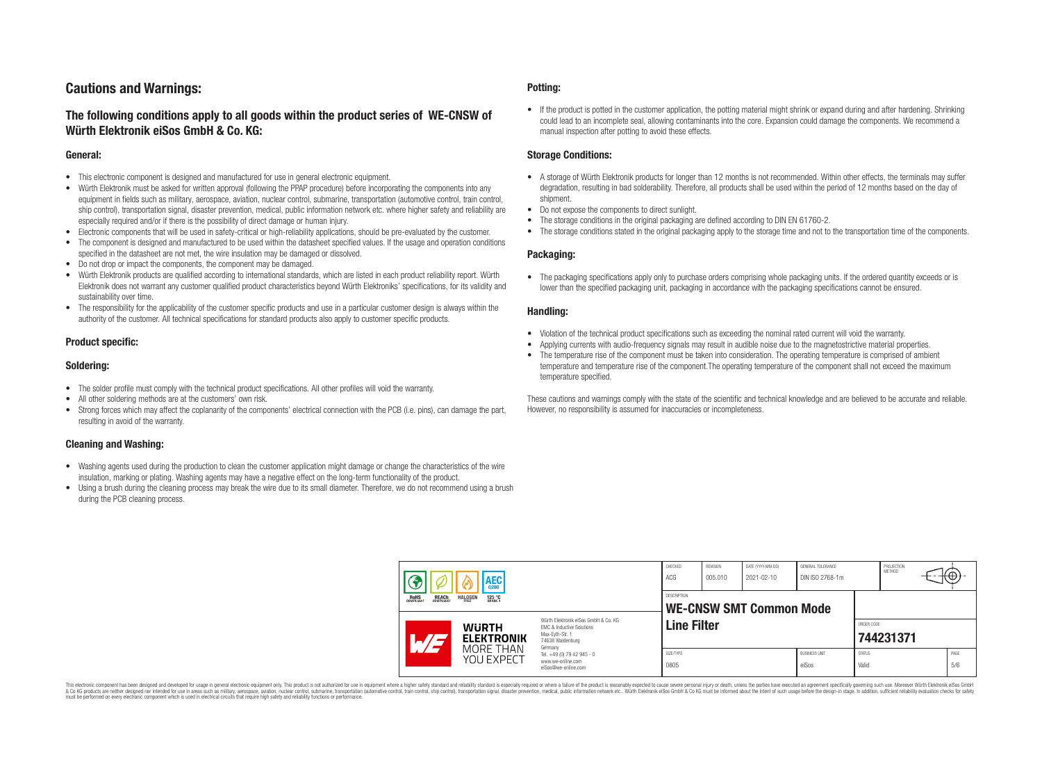## **Cautions and Warnings:**

## **The following conditions apply to all goods within the product series of WE-CNSW of Würth Elektronik eiSos GmbH & Co. KG:**

#### **General:**

- This electronic component is designed and manufactured for use in general electronic equipment.
- Würth Elektronik must be asked for written approval (following the PPAP procedure) before incorporating the components into any equipment in fields such as military, aerospace, aviation, nuclear control, submarine, transportation (automotive control, train control, ship control), transportation signal, disaster prevention, medical, public information network etc. where higher safety and reliability are especially required and/or if there is the possibility of direct damage or human injury.
- Electronic components that will be used in safety-critical or high-reliability applications, should be pre-evaluated by the customer.
- The component is designed and manufactured to be used within the datasheet specified values. If the usage and operation conditions specified in the datasheet are not met, the wire insulation may be damaged or dissolved.
- Do not drop or impact the components, the component may be damaged.
- Würth Elektronik products are qualified according to international standards, which are listed in each product reliability report. Würth Elektronik does not warrant any customer qualified product characteristics beyond Würth Elektroniks' specifications, for its validity and sustainability over time.
- The responsibility for the applicability of the customer specific products and use in a particular customer design is always within the authority of the customer. All technical specifications for standard products also apply to customer specific products.

#### **Product specific:**

#### **Soldering:**

- The solder profile must comply with the technical product specifications. All other profiles will void the warranty.
- All other soldering methods are at the customers' own risk.
- Strong forces which may affect the coplanarity of the components' electrical connection with the PCB (i.e. pins), can damage the part, resulting in avoid of the warranty.

#### **Cleaning and Washing:**

- Washing agents used during the production to clean the customer application might damage or change the characteristics of the wire insulation, marking or plating. Washing agents may have a negative effect on the long-term functionality of the product.
- Using a brush during the cleaning process may break the wire due to its small diameter. Therefore, we do not recommend using a brush during the PCB cleaning process.

#### **Potting:**

• If the product is potted in the customer application, the potting material might shrink or expand during and after hardening. Shrinking could lead to an incomplete seal, allowing contaminants into the core. Expansion could damage the components. We recommend a manual inspection after potting to avoid these effects.

#### **Storage Conditions:**

- A storage of Würth Elektronik products for longer than 12 months is not recommended. Within other effects, the terminals may suffer degradation, resulting in bad solderability. Therefore, all products shall be used within the period of 12 months based on the day of shipment.
- Do not expose the components to direct sunlight.
- The storage conditions in the original packaging are defined according to DIN EN 61760-2.
- The storage conditions stated in the original packaging apply to the storage time and not to the transportation time of the components.

#### **Packaging:**

• The packaging specifications apply only to purchase orders comprising whole packaging units. If the ordered quantity exceeds or is lower than the specified packaging unit, packaging in accordance with the packaging specifications cannot be ensured.

#### **Handling:**

- Violation of the technical product specifications such as exceeding the nominal rated current will void the warranty.
- Applying currents with audio-frequency signals may result in audible noise due to the magnetostrictive material properties.
- The temperature rise of the component must be taken into consideration. The operating temperature is comprised of ambient temperature and temperature rise of the component.The operating temperature of the component shall not exceed the maximum temperature specified.

These cautions and warnings comply with the state of the scientific and technical knowledge and are believed to be accurate and reliable. However, no responsibility is assumed for inaccuracies or incompleteness.

|                                                                                       | 3                                                                                                                                             | <b>AEC</b>                                    |                                                                        | CHECKED<br>ACG     | REVISION<br>005.010 | DATE (YYYY-MM-DD)<br>2021-02-10 | <b>GENERAL TOLERANCE</b><br>DIN ISO 2768-1m |                        | PROJECTION<br>METHOD | ₩₩.         |
|---------------------------------------------------------------------------------------|-----------------------------------------------------------------------------------------------------------------------------------------------|-----------------------------------------------|------------------------------------------------------------------------|--------------------|---------------------|---------------------------------|---------------------------------------------|------------------------|----------------------|-------------|
| ROHS<br>COMPLIANT<br><b>REACH</b><br>COMPLIANT<br><b>HALOGEN</b><br>125 °C<br>GRADE 1 |                                                                                                                                               | DESCRIPTION<br><b>WE-CNSW SMT Common Mode</b> |                                                                        |                    |                     |                                 |                                             |                        |                      |             |
|                                                                                       | Würth Elektronik eiSos GmbH & Co. KG<br><b>WURTH</b><br>EMC & Inductive Solutions<br>Max-Eyth-Str. 1<br><b>ELEKTRONIK</b><br>74638 Waldenburg |                                               | Germany                                                                | <b>Line Filter</b> |                     |                                 |                                             | ORDER CODE             | 744231371            |             |
|                                                                                       |                                                                                                                                               | MORE THAN<br>YOU EXPECT                       | Tel. +49 (0) 79 42 945 - 0<br>www.we-online.com<br>eiSos@we-online.com | SIZE/TYPE<br>0805  |                     |                                 | <b>BUSINESS UNIT</b><br>eiSos               | <b>STATUS</b><br>Valid |                      | PAGE<br>5/6 |

This electronic component has been designed and developed for usage in general electronic equipment only. This product is not authorized for use in equipment where a higher safety standard and reliability standard si espec & Ook product a label and the membed of the seasuch as marked and as which such a membed and the such assume that income in the seasuch and the simulation and the such assume that include to the such a membed and the such